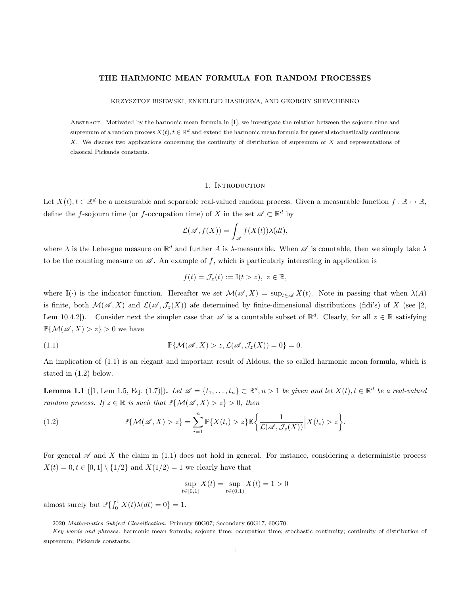# THE HARMONIC MEAN FORMULA FOR RANDOM PROCESSES

#### KRZYSZTOF BISEWSKI, ENKELEJD HASHORVA, AND GEORGIY SHEVCHENKO

Abstract. Motivated by the harmonic mean formula in [1], we investigate the relation between the sojourn time and supremum of a random process  $X(t)$ ,  $t \in \mathbb{R}^d$  and extend the harmonic mean formula for general stochastically continuous X. We discuss two applications concerning the continuity of distribution of supremum of X and representations of classical Pickands constants.

## 1. Introduction

Let  $X(t)$ ,  $t \in \mathbb{R}^d$  be a measurable and separable real-valued random process. Given a measurable function  $f : \mathbb{R} \to \mathbb{R}$ , define the f-sojourn time (or f-occupation time) of X in the set  $\mathscr{A} \subset \mathbb{R}^d$  by

$$
\mathcal{L}(\mathscr{A}, f(X)) = \int_{\mathscr{A}} f(X(t)) \lambda(dt),
$$

where  $\lambda$  is the Lebesgue measure on  $\mathbb{R}^d$  and further A is  $\lambda$ -measurable. When  $\mathscr A$  is countable, then we simply take  $\lambda$ to be the counting measure on  $\mathscr A$ . An example of f, which is particularly interesting in application is

$$
f(t) = \mathcal{J}_z(t) := \mathbb{I}(t > z), \ z \in \mathbb{R},
$$

where I(·) is the indicator function. Hereafter we set  $\mathcal{M}(\mathscr{A}, X) = \sup_{t \in \mathscr{A}} X(t)$ . Note in passing that when  $\lambda(A)$ is finite, both  $\mathcal{M}(\mathscr{A},X)$  and  $\mathcal{L}(\mathscr{A},\mathcal{J}_z(X))$  afe determined by finite-dimensional distributions (fidi's) of X (see [2, Lem 10.4.2]). Consider next the simpler case that  $\mathscr A$  is a countable subset of  $\mathbb R^d$ . Clearly, for all  $z \in \mathbb R$  satisfying  $\mathbb{P}\{\mathcal{M}(\mathscr{A},X)>z\}>0$  we have

(1.1) 
$$
\mathbb{P}\{\mathcal{M}(\mathscr{A},X) > z, \mathcal{L}(\mathscr{A},\mathcal{J}_z(X)) = 0\} = 0.
$$

An implication of (1.1) is an elegant and important result of Aldous, the so called harmonic mean formula, which is stated in (1.2) below.

**Lemma 1.1** ([1, Lem 1.5, Eq. (1.7)]). Let  $\mathscr{A} = \{t_1, \ldots, t_n\} \subset \mathbb{R}^d, n > 1$  be given and let  $X(t), t \in \mathbb{R}^d$  be a real-valued random process. If  $z \in \mathbb{R}$  is such that  $\mathbb{P}\{\mathcal{M}(\mathscr{A},X) > z\} > 0$ , then

(1.2) 
$$
\mathbb{P}\{\mathcal{M}(\mathscr{A},X)>z\}=\sum_{i=1}^n\mathbb{P}\{X(t_i)>z\}\mathbb{E}\bigg\{\frac{1}{\mathcal{L}(\mathscr{A},\mathcal{J}_z(X))}\bigg|X(t_i)>z\bigg\}.
$$

For general  $\mathscr A$  and X the claim in (1.1) does not hold in general. For instance, considering a deterministic process  $X(t) = 0, t \in [0, 1] \setminus \{1/2\}$  and  $X(1/2) = 1$  we clearly have that

$$
\sup_{t \in [0,1]} X(t) = \sup_{t \in (0,1)} X(t) = 1 > 0
$$

almost surely but  $\mathbb{P}\left\{\int_0^1 X(t)\lambda(dt) = 0\right\} = 1.$ 

<sup>2020</sup> Mathematics Subject Classification. Primary 60G07; Secondary 60G17, 60G70.

Key words and phrases. harmonic mean formula; sojourn time; occupation time; stochastic continuity; continuity of distribution of supremum; Pickands constants.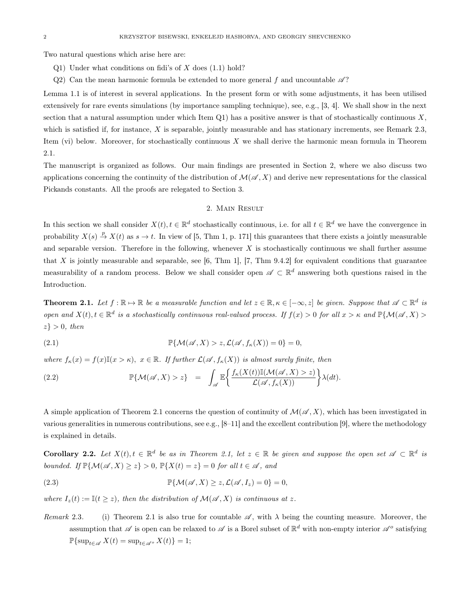Two natural questions which arise here are:

- Q1) Under what conditions on fidi's of  $X$  does  $(1.1)$  hold?
- Q2) Can the mean harmonic formula be extended to more general f and uncountable  $\mathscr{A}$ ?

Lemma 1.1 is of interest in several applications. In the present form or with some adjustments, it has been utilised extensively for rare events simulations (by importance sampling technique), see, e.g., [3, 4]. We shall show in the next section that a natural assumption under which Item  $Q1$ ) has a positive answer is that of stochastically continuous X, which is satisfied if, for instance, X is separable, jointly measurable and has stationary increments, see Remark 2.3, Item (vi) below. Moreover, for stochastically continuous  $X$  we shall derive the harmonic mean formula in Theorem 2.1.

The manuscript is organized as follows. Our main findings are presented in Section 2, where we also discuss two applications concerning the continuity of the distribution of  $\mathcal{M}(\mathscr{A}, X)$  and derive new representations for the classical Pickands constants. All the proofs are relegated to Section 3.

### 2. Main Result

In this section we shall consider  $X(t)$ ,  $t \in \mathbb{R}^d$  stochastically continuous, i.e. for all  $t \in \mathbb{R}^d$  we have the convergence in probability  $X(s) \stackrel{p}{\to} X(t)$  as  $s \to t$ . In view of [5, Thm 1, p. 171] this guarantees that there exists a jointly measurable and separable version. Therefore in the following, whenever  $X$  is stochastically continuous we shall further assume that X is jointly measurable and separable, see  $[6, Thm 1]$ ,  $[7, Thm 9.4.2]$  for equivalent conditions that guarantee measurability of a random process. Below we shall consider open  $\mathscr{A} \subset \mathbb{R}^d$  answering both questions raised in the Introduction.

**Theorem 2.1.** Let  $f : \mathbb{R} \to \mathbb{R}$  be a measurable function and let  $z \in \mathbb{R}, \kappa \in [-\infty, z]$  be given. Suppose that  $\mathscr{A} \subset \mathbb{R}^d$  is open and  $X(t)$ ,  $t \in \mathbb{R}^d$  is a stochastically continuous real-valued process. If  $f(x) > 0$  for all  $x > \kappa$  and  $\mathbb{P}\{\mathcal{M}(\mathscr{A}, X) > 0\}$  $z\} > 0$ , then

(2.1) 
$$
\mathbb{P}\{\mathcal{M}(\mathscr{A},X) > z, \mathcal{L}(\mathscr{A},f_{\kappa}(X)) = 0\} = 0,
$$

where  $f_{\kappa}(x) = f(x)\mathbb{I}(x > \kappa)$ ,  $x \in \mathbb{R}$ . If further  $\mathcal{L}(\mathscr{A}, f_{\kappa}(X))$  is almost surely finite, then

(2.2) 
$$
\mathbb{P}\{\mathcal{M}(\mathscr{A},X)>z\} = \int_{\mathscr{A}} \mathbb{E}\bigg\{\frac{f_{\kappa}(X(t))\mathbb{I}(\mathcal{M}(\mathscr{A},X)>z)}{\mathcal{L}(\mathscr{A},f_{\kappa}(X))}\bigg\}\lambda(dt).
$$

A simple application of Theorem 2.1 concerns the question of continuity of  $\mathcal{M}(\mathscr{A}, X)$ , which has been investigated in various generalities in numerous contributions, see e.g.,  $[8-11]$  and the excellent contribution [9], where the methodology is explained in details.

**Corollary 2.2.** Let  $X(t), t \in \mathbb{R}^d$  be as in Theorem 2.1, let  $z \in \mathbb{R}$  be given and suppose the open set  $\mathscr{A} \subset \mathbb{R}^d$  is bounded. If  $\mathbb{P}\{\mathcal{M}(\mathscr{A},X)\geq z\}>0$ ,  $\mathbb{P}\{X(t)=z\}=0$  for all  $t\in\mathscr{A}$ , and

(2.3) 
$$
\mathbb{P}\{\mathcal{M}(\mathscr{A},X)\geq z,\mathcal{L}(\mathscr{A},I_z)=0\}=0,
$$

where  $I_z(t) := \mathbb{I}(t \geq z)$ , then the distribution of  $\mathcal{M}(\mathscr{A}, X)$  is continuous at z.

Remark 2.3. (i) Theorem 2.1 is also true for countable  $\mathscr A$ , with  $\lambda$  being the counting measure. Moreover, the assumption that  $\mathscr A$  is open can be relaxed to  $\mathscr A$  is a Borel subset of  $\mathbb R^d$  with non-empty interior  $\mathscr A^o$  satisfying  $\mathbb{P}\{\sup_{t\in\mathscr{A}}X(t)=\sup_{t\in\mathscr{A}^o}X(t)\}=1;$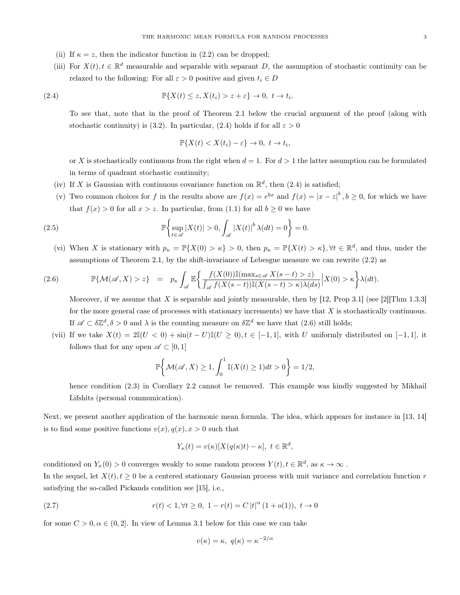- (ii) If  $\kappa = z$ , then the indicator function in (2.2) can be dropped;
- (iii) For  $X(t)$ ,  $t \in \mathbb{R}^d$  measurable and separable with separant D, the assumption of stochastic continuity can be relaxed to the following: For all  $\varepsilon > 0$  positive and given  $t_i \in D$

(2.4) 
$$
\mathbb{P}\{X(t) \leq z, X(t_i) > z + \varepsilon\} \to 0, \ t \to t_i.
$$

To see that, note that in the proof of Theorem 2.1 below the crucial argument of the proof (along with stochastic continuity) is (3.2). In particular, (2.4) holds if for all  $\varepsilon > 0$ 

$$
\mathbb{P}\{X(t) < X(t_i) - \varepsilon\} \to 0, \ t \to t_i,
$$

or X is stochastically continuous from the right when  $d = 1$ . For  $d > 1$  the latter assumption can be formulated in terms of quadrant stochastic continuity;

- (iv) If X is Gaussian with continuous covariance function on  $\mathbb{R}^d$ , then (2.4) is satisfied;
- (v) Two common choices for f in the results above are  $f(x) = e^{bx}$  and  $f(x) = |x z|^b$ ,  $b \ge 0$ , for which we have that  $f(x) > 0$  for all  $x > z$ . In particular, from (1.1) for all  $b \ge 0$  we have

(2.5) 
$$
\mathbb{P}\left\{\sup_{t\in\mathscr{A}}|X(t)|>0,\int_{\mathscr{A}}|X(t)|^b\lambda(dt)=0\right\}=0.
$$

(vi) When X is stationary with  $p_{\kappa} = \mathbb{P}\{X(0) > \kappa\} > 0$ , then  $p_{\kappa} = \mathbb{P}\{X(t) > \kappa\}, \forall t \in \mathbb{R}^d$ , and thus, under the assumptions of Theorem 2.1, by the shift-invariance of Lebesgue measure we can rewrite (2.2) as

$$
(2.6) \qquad \mathbb{P}\{\mathcal{M}(\mathscr{A},X)>z\} \quad = \quad p_{\kappa}\int_{\mathscr{A}}\mathbb{E}\bigg\{\frac{f(X(0))\mathbb{I}(\max_{s\in\mathscr{A}}X(s-t)>z)}{\int_{\mathscr{A}}f(X(s-t))\mathbb{I}(X(s-t)>k)\lambda(ds)}\bigg|X(0)>\kappa\bigg\}\lambda(dt).
$$

Moreover, if we assume that X is separable and jointly measurable, then by  $[12,$  Prop 3.1] (see [2][Thm 1.3.3] for the more general case of processes with stationary increments) we have that  $X$  is stochastically continuous. If  $\mathscr{A} \subset \delta \mathbb{Z}^d, \delta > 0$  and  $\lambda$  is the counting measure on  $\delta \mathbb{Z}^d$  we have that  $(2.6)$  still holds;

(vii) If we take  $X(t) = 2\mathbb{I}(U < 0) + \sin(t - U)\mathbb{I}(U \ge 0), t \in [-1, 1]$ , with U uniformly distributed on  $[-1, 1]$ , it follows that for any open  $\mathscr{A} \subset [0,1]$ 

$$
\mathbb{P}\bigg\{\mathcal{M}(\mathscr{A},X)\geq 1,\int_0^1 \mathbb{I}(X(t)\geq 1)dt>0\bigg\}=1/2,
$$

hence condition (2.3) in Corollary 2.2 cannot be removed. This example was kindly suggested by Mikhail Lifshits (personal communication).

Next, we present another application of the harmonic mean formula. The idea, which appears for instance in [13, 14] is to find some positive functions  $v(x)$ ,  $q(x)$ ,  $x > 0$  such that

$$
Y_{\kappa}(t) = v(\kappa)[X(q(\kappa)t) - \kappa], \ t \in \mathbb{R}^d,
$$

conditioned on  $Y_{\kappa}(0) > 0$  converges weakly to some random process  $Y(t)$ ,  $t \in \mathbb{R}^d$ , as  $\kappa \to \infty$ . In the sequel, let  $X(t)$ ,  $t > 0$  be a centered stationary Gaussian process with unit variance and correlation function r satisfying the so-called Pickands condition see [15], i.e.,

(2.7) 
$$
r(t) < 1, \forall t \ge 0, \ 1 - r(t) = C |t|^{\alpha} (1 + o(1)), \ t \to 0
$$

for some  $C > 0, \alpha \in (0, 2]$ . In view of Lemma 3.1 below for this case we can take

$$
v(\kappa) = \kappa, \ q(\kappa) = \kappa^{-2/\alpha}
$$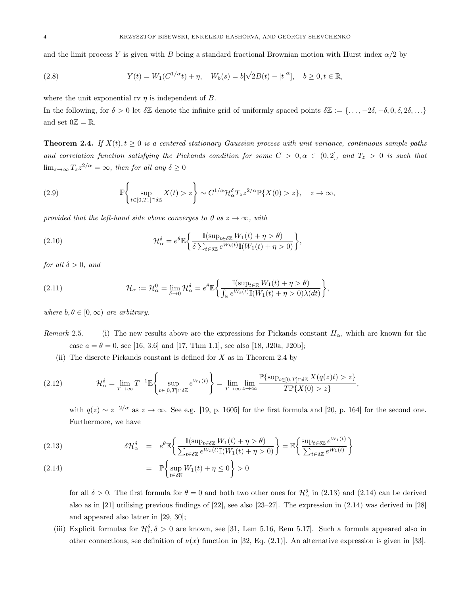and the limit process Y is given with B being a standard fractional Brownian motion with Hurst index  $\alpha/2$  by

(2.8) 
$$
Y(t) = W_1(C^{1/\alpha}t) + \eta, \quad W_b(s) = b[\sqrt{2}B(t) - |t|^{\alpha}], \quad b \ge 0, t \in \mathbb{R},
$$

where the unit exponential rv  $\eta$  is independent of B.

In the following, for  $\delta > 0$  let  $\delta \mathbb{Z}$  denote the infinite grid of uniformly spaced points  $\delta \mathbb{Z} := {\ldots, -2\delta, -\delta, 0, \delta, 2\delta, \ldots}$ and set  $0\mathbb{Z} = \mathbb{R}$ .

**Theorem 2.4.** If  $X(t), t \geq 0$  is a centered stationary Gaussian process with unit variance, continuous sample paths and correlation function satisfying the Pickands condition for some  $C > 0, \alpha \in (0, 2]$ , and  $T_z > 0$  is such that  $\lim_{z\to\infty} T_z z^{2/\alpha} = \infty$ , then for all any  $\delta \geq 0$ 

(2.9) 
$$
\mathbb{P}\left\{\sup_{t\in[0,T_z]\cap\delta\mathbb{Z}}X(t)>z\right\}\sim C^{1/\alpha}\mathcal{H}_{\alpha}^{\delta}T_{z}z^{2/\alpha}\mathbb{P}\{X(0)>z\},\quad z\to\infty,
$$

provided that the left-hand side above converges to 0 as  $z \to \infty$ , with

(2.10) 
$$
\mathcal{H}_{\alpha}^{\delta} = e^{\theta} \mathbb{E} \bigg\{ \frac{\mathbb{I}(\sup_{t \in \delta \mathbb{Z}} W_1(t) + \eta > \theta)}{\delta \sum_{t \in \delta \mathbb{Z}} e^{W_b(t)} \mathbb{I}(W_1(t) + \eta > 0)} \bigg\},
$$

for all  $\delta > 0$ , and

(2.11) 
$$
\mathcal{H}_{\alpha} := \mathcal{H}_{\alpha}^{0} = \lim_{\delta \to 0} \mathcal{H}_{\alpha}^{\delta} = e^{\theta} \mathbb{E} \bigg\{ \frac{\mathbb{I}(\sup_{t \in \mathbb{R}} W_{1}(t) + \eta > \theta)}{\int_{\mathbb{R}} e^{W_{b}(t)} \mathbb{I}(W_{1}(t) + \eta > 0) \lambda(dt)} \bigg\},
$$

where  $b, \theta \in [0, \infty)$  are arbitrary.

Remark 2.5. (i) The new results above are the expressions for Pickands constant  $H_{\alpha}$ , which are known for the case  $a = \theta = 0$ , see [16, 3.6] and [17, Thm 1.1], see also [18, J20a, J20b];

(ii) The discrete Pickands constant is defined for  $X$  as in Theorem 2.4 by

$$
(2.12) \t\t \t\mathcal{H}_{\alpha}^{\delta} = \lim_{T \to \infty} T^{-1} \mathbb{E} \left\{ \sup_{t \in [0,T] \cap \delta \mathbb{Z}} e^{W_1(t)} \right\} = \lim_{T \to \infty} \lim_{z \to \infty} \frac{\mathbb{P} \{ \sup_{t \in [0,T] \cap \delta \mathbb{Z}} X(q(z)t) > z \}}{\t\mathcal{TR} \{ X(0) > z \}},
$$

with  $q(z) \sim z^{-2/\alpha}$  as  $z \to \infty$ . See e.g. [19, p. 1605] for the first formula and [20, p. 164] for the second one. Furthermore, we have

(2.13) 
$$
\delta \mathcal{H}_{\alpha}^{\delta} = e^{\theta} \mathbb{E} \bigg\{ \frac{\mathbb{I}(\sup_{t \in \delta \mathbb{Z}} W_1(t) + \eta > \theta)}{\sum_{t \in \delta \mathbb{Z}} e^{W_b(t)} \mathbb{I}(W_1(t) + \eta > 0)} \bigg\} = \mathbb{E} \bigg\{ \frac{\sup_{t \in \delta \mathbb{Z}} e^{W_1(t)}}{\sum_{t \in \delta \mathbb{Z}} e^{W_1(t)}} \bigg\}
$$

(2.14) 
$$
\mathbb{P}\left\{\sup_{t\in\delta\mathbb{N}}W_1(t)+\eta\leq 0\right\}>0
$$

for all  $\delta > 0$ . The first formula for  $\theta = 0$  and both two other ones for  $\mathcal{H}^{\delta}_{\alpha}$  in (2.13) and (2.14) can be derived also as in [21] utilising previous findings of [22], see also [23–27]. The expression in (2.14) was derived in [28] and appeared also latter in [29, 30];

(iii) Explicit formulas for  $\mathcal{H}_1^{\delta}$ ,  $\delta > 0$  are known, see [31, Lem 5.16, Rem 5.17]. Such a formula appeared also in other connections, see definition of  $\nu(x)$  function in [32, Eq. (2.1)]. An alternative expression is given in [33].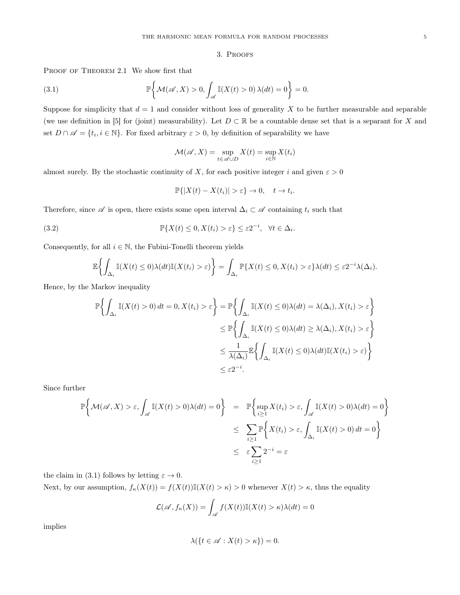## 3. Proofs

PROOF OF THEOREM 2.1 We show first that

(3.1) 
$$
\mathbb{P}\bigg\{\mathcal{M}(\mathscr{A},X)>0,\int_{\mathscr{A}}\mathbb{I}(X(t)>0)\,\lambda(dt)=0\bigg\}=0.
$$

Suppose for simplicity that  $d = 1$  and consider without loss of generality X to be further measurable and separable (we use definition in [5] for (joint) measurability). Let  $D \subset \mathbb{R}$  be a countable dense set that is a separant for X and set  $D \cap \mathscr{A} = \{t_i, i \in \mathbb{N}\}\.$  For fixed arbitrary  $\varepsilon > 0$ , by definition of separability we have

$$
\mathcal{M}(\mathscr{A},X)=\sup_{t\in\mathscr{A}\cup D}X(t)=\sup_{i\in\mathbb{N}}X(t_i)
$$

almost surely. By the stochastic continuity of X, for each positive integer i and given  $\varepsilon > 0$ 

$$
\mathbb{P}\{|X(t) - X(t_i)| > \varepsilon\} \to 0, \quad t \to t_i.
$$

Therefore, since  $\mathscr A$  is open, there exists some open interval  $\Delta_i \subset \mathscr A$  containing  $t_i$  such that

(3.2) 
$$
\mathbb{P}\{X(t) \leq 0, X(t_i) > \varepsilon\} \leq \varepsilon 2^{-i}, \quad \forall t \in \Delta_i.
$$

Consequently, for all  $i \in \mathbb{N}$ , the Fubini-Tonelli theorem yields

$$
\mathbb{E}\left\{\int_{\Delta_i} \mathbb{I}(X(t)\leq 0)\lambda(dt)\mathbb{I}(X(t_i)>\varepsilon)\right\} = \int_{\Delta_i} \mathbb{P}\{X(t)\leq 0, X(t_i)>\varepsilon\}\lambda(dt)\leq \varepsilon 2^{-i}\lambda(\Delta_i).
$$

Hence, by the Markov inequality

$$
\mathbb{P}\left\{\int_{\Delta_i} \mathbb{I}(X(t) > 0) dt = 0, X(t_i) > \varepsilon\right\} = \mathbb{P}\left\{\int_{\Delta_i} \mathbb{I}(X(t) \le 0)\lambda(dt) = \lambda(\Delta_i), X(t_i) > \varepsilon\right\}
$$
  

$$
\le \mathbb{P}\left\{\int_{\Delta_i} \mathbb{I}(X(t) \le 0)\lambda(dt) \ge \lambda(\Delta_i), X(t_i) > \varepsilon\right\}
$$
  

$$
\le \frac{1}{\lambda(\Delta_i)} \mathbb{E}\left\{\int_{\Delta_i} \mathbb{I}(X(t) \le 0)\lambda(dt) \mathbb{I}(X(t_i) > \varepsilon)\right\}
$$
  

$$
\le \varepsilon 2^{-i}.
$$

Since further

$$
\mathbb{P}\left\{\mathcal{M}(\mathscr{A},X) > \varepsilon, \int_{\mathscr{A}} \mathbb{I}(X(t) > 0)\lambda(dt) = 0\right\} = \mathbb{P}\left\{\sup_{i \geq 1} X(t_i) > \varepsilon, \int_{\mathscr{A}} \mathbb{I}(X(t) > 0)\lambda(dt) = 0\right\}
$$

$$
\leq \sum_{i \geq 1} \mathbb{P}\left\{X(t_i) > \varepsilon, \int_{\Delta_i} \mathbb{I}(X(t) > 0) dt = 0\right\}
$$

$$
\leq \varepsilon \sum_{i \geq 1} 2^{-i} = \varepsilon
$$

the claim in (3.1) follows by letting  $\varepsilon \to 0$ .

Next, by our assumption,  $f_{\kappa}(X(t)) = f(X(t))\mathbb{I}(X(t) > \kappa) > 0$  whenever  $X(t) > \kappa$ , thus the equality

$$
\mathcal{L}(\mathscr{A}, f_{\kappa}(X)) = \int_{\mathscr{A}} f(X(t)) \mathbb{I}(X(t) > \kappa) \lambda(dt) = 0
$$

implies

$$
\lambda(\{t \in \mathscr{A} : X(t) > \kappa\}) = 0.
$$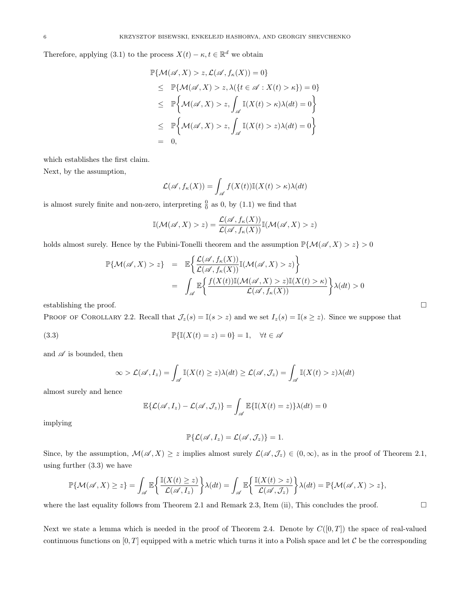Therefore, applying (3.1) to the process  $X(t) - \kappa, t \in \mathbb{R}^d$  we obtain

$$
\mathbb{P}\{\mathcal{M}(\mathscr{A}, X) > z, \mathcal{L}(\mathscr{A}, f_{\kappa}(X)) = 0\}
$$
\n
$$
\leq \mathbb{P}\{\mathcal{M}(\mathscr{A}, X) > z, \lambda(\{t \in \mathscr{A} : X(t) > \kappa\}) = 0\}
$$
\n
$$
\leq \mathbb{P}\left\{\mathcal{M}(\mathscr{A}, X) > z, \int_{\mathscr{A}} \mathbb{I}(X(t) > \kappa)\lambda(dt) = 0\right\}
$$
\n
$$
\leq \mathbb{P}\left\{\mathcal{M}(\mathscr{A}, X) > z, \int_{\mathscr{A}} \mathbb{I}(X(t) > z)\lambda(dt) = 0\right\}
$$
\n
$$
= 0,
$$

which establishes the first claim.

Next, by the assumption,

$$
\mathcal{L}(\mathscr{A}, f_{\kappa}(X)) = \int_{\mathscr{A}} f(X(t)) \mathbb{I}(X(t) > \kappa) \lambda(dt)
$$

is almost surely finite and non-zero, interpreting  $\frac{0}{0}$  as 0, by (1.1) we find that

$$
\mathbb{I}(\mathcal{M}(\mathscr{A},X) > z) = \frac{\mathcal{L}(\mathscr{A}, f_{\kappa}(X))}{\mathcal{L}(\mathscr{A}, f_{\kappa}(X))}\mathbb{I}(\mathcal{M}(\mathscr{A},X) > z)
$$

holds almost surely. Hence by the Fubini-Tonelli theorem and the assumption  $\mathbb{P}\{\mathcal{M}(\mathscr{A},X) > z\} > 0$ 

$$
\mathbb{P}\{\mathcal{M}(\mathscr{A},X)>z\} = \mathbb{E}\left\{\frac{\mathcal{L}(\mathscr{A},f_{\kappa}(X))}{\mathcal{L}(\mathscr{A},f_{\kappa}(X))}\mathbb{I}(\mathcal{M}(\mathscr{A},X)>z)\right\}
$$
\n
$$
= \int_{\mathscr{A}} \mathbb{E}\left\{\frac{f(X(t))\mathbb{I}(\mathcal{M}(\mathscr{A},X)>z)\mathbb{I}(X(t)>\kappa)}{\mathcal{L}(\mathscr{A},f_{\kappa}(X))}\right\}\lambda(dt)>0
$$

establishing the proof.  $\Box$ 

PROOF OF COROLLARY 2.2. Recall that  $\mathcal{J}_z(s) = \mathbb{I}(s > z)$  and we set  $I_z(s) = \mathbb{I}(s \geq z)$ . Since we suppose that

(3.3) 
$$
\mathbb{P}\{\mathbb{I}(X(t) = z) = 0\} = 1, \quad \forall t \in \mathscr{A}
$$

and  $\mathscr A$  is bounded, then

$$
\infty > \mathcal{L}(\mathscr{A}, I_z) = \int_{\mathscr{A}} \mathbb{I}(X(t) \ge z) \lambda(dt) \ge \mathcal{L}(\mathscr{A}, \mathcal{J}_z) = \int_{\mathscr{A}} \mathbb{I}(X(t) > z) \lambda(dt)
$$

almost surely and hence

$$
\mathbb{E}\{\mathcal{L}(\mathscr{A},I_z) - \mathcal{L}(\mathscr{A},\mathcal{J}_z)\} = \int_{\mathscr{A}} \mathbb{E}\{\mathbb{I}(X(t) = z)\}\lambda(dt) = 0
$$

implying

$$
\mathbb{P}\{\mathcal{L}(\mathscr{A},I_z)=\mathcal{L}(\mathscr{A},\mathcal{J}_z)\}=1.
$$

Since, by the assumption,  $\mathcal{M}(\mathscr{A}, X) \geq z$  implies almost surely  $\mathcal{L}(\mathscr{A}, \mathcal{J}_z) \in (0, \infty)$ , as in the proof of Theorem 2.1, using further (3.3) we have

$$
\mathbb{P}\{\mathcal{M}(\mathscr{A},X)\geq z\}=\int_{\mathscr{A}}\mathbb{E}\bigg\{\frac{\mathbb{I}(X(t)\geq z)}{\mathcal{L}(\mathscr{A},I_z)}\bigg\}\lambda(dt)=\int_{\mathscr{A}}\mathbb{E}\bigg\{\frac{\mathbb{I}(X(t)>z)}{\mathcal{L}(\mathscr{A},\mathcal{I}_z)}\bigg\}\lambda(dt)=\mathbb{P}\{\mathcal{M}(\mathscr{A},X)>z\},
$$

where the last equality follows from Theorem 2.1 and Remark 2.3, Item (ii), This concludes the proof.  $\Box$ 

Next we state a lemma which is needed in the proof of Theorem 2.4. Denote by  $C([0,T])$  the space of real-valued continuous functions on  $[0, T]$  equipped with a metric which turns it into a Polish space and let C be the corresponding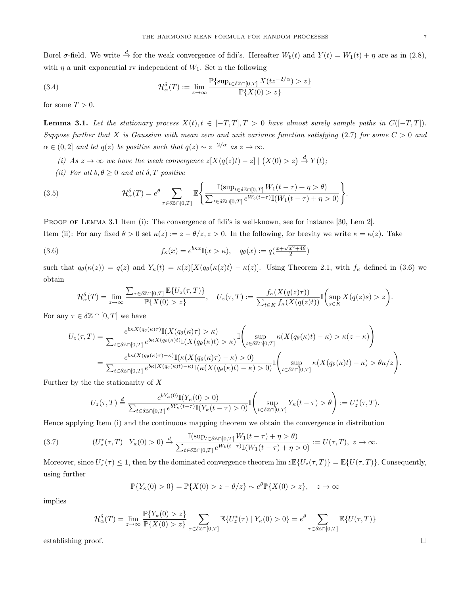Borel  $\sigma$ -field. We write  $\stackrel{d}{\to}$  for the weak convergence of fidi's. Hereafter  $W_b(t)$  and  $Y(t) = W_1(t) + \eta$  are as in (2.8), with  $\eta$  a unit exponential rv independent of  $W_1$ . Set n the following

(3.4) 
$$
\mathcal{H}^{\delta}_{\alpha}(T) := \lim_{z \to \infty} \frac{\mathbb{P}\{\sup_{t \in \delta \mathbb{Z} \cap [0,T]} X(tz^{-2/\alpha}) > z\}}{\mathbb{P}\{X(0) > z\}}
$$

for some  $T > 0$ .

**Lemma 3.1.** Let the stationary process  $X(t)$ ,  $t \in [-T, T], T > 0$  have almost surely sample paths in  $C([-T, T]).$ Suppose further that X is Gaussian with mean zero and unit variance function satisfying  $(2.7)$  for some  $C > 0$  and  $\alpha \in (0,2]$  and let  $q(z)$  be positive such that  $q(z) \sim z^{-2/\alpha}$  as  $z \to \infty$ .

- (i) As  $z \to \infty$  we have the weak convergence  $z[X(q(z)t) z] | (X(0) > z) \stackrel{d}{\to} Y(t);$
- (ii) For all  $b, \theta \ge 0$  and all  $\delta, T$  positive

(3.5) 
$$
\mathcal{H}_{\alpha}^{\delta}(T) = e^{\theta} \sum_{\tau \in \delta \mathbb{Z} \cap [0,T]} \mathbb{E} \Bigg\{ \frac{\mathbb{I}(\sup_{t \in \delta \mathbb{Z} \cap [0,T]} W_1(t-\tau) + \eta > \theta)}{\sum_{t \in \delta \mathbb{Z} \cap [0,T]} e^{W_b(t-\tau) \mathbb{I}(W_1(t-\tau) + \eta > 0)}} \Bigg\}.
$$

PROOF OF LEMMA 3.1 Item (i): The convergence of fidi's is well-known, see for instance [30, Lem 2]. Item (ii): For any fixed  $\theta > 0$  set  $\kappa(z) := z - \theta/z, z > 0$ . In the following, for brevity we write  $\kappa = \kappa(z)$ . Take

(3.6) 
$$
f_{\kappa}(x) = e^{b\kappa x} \mathbb{I}(x > \kappa), \quad q_{\theta}(x) := q(\frac{x + \sqrt{x^2 + 4\theta}}{2})
$$

such that  $q_{\theta}(\kappa(z)) = q(z)$  and  $Y_{\kappa}(t) = \kappa(z)[X(q_{\theta}(\kappa(z)t) - \kappa(z)].$  Using Theorem 2.1, with  $f_{\kappa}$  defined in (3.6) we obtain

$$
\mathcal{H}^{\delta}_{\alpha}(T)=\lim_{z\to\infty}\frac{\sum_{\tau\in\delta\mathbb{Z}\cap[0,T]}\mathbb{E}\{U_{z}(\tau,T)\}}{\mathbb{P}\{X(0)>z\}},\quad U_{z}(\tau,T):=\frac{f_{\kappa}(X(q(z)\tau))}{\sum_{t\in K}f_{\kappa}(X(q(z)t))}\mathbb{I}\bigg(\sup_{s\in K}X(q(z)s)>z\bigg)
$$

For any  $\tau \in \delta \mathbb{Z} \cap [0,T]$  we have

$$
U_z(\tau,T) = \frac{e^{b\kappa X(q_\theta(\kappa)\tau)}\mathbb{I}(X(q_\theta(\kappa)\tau) > \kappa)}{\sum_{t \in \delta \mathbb{Z} \cap [0,T]} e^{b\kappa X(q_\theta(\kappa)t)}\mathbb{I}(X(q_\theta(\kappa)t) > \kappa)} \mathbb{I}\left(\sup_{t \in \delta \mathbb{Z} \cap [0,T]} \kappa(X(q_\theta(\kappa)t) - \kappa) > \kappa(z-\kappa)\right)
$$
  
= 
$$
\frac{e^{b\kappa(X(q_\theta(\kappa)\tau) - \kappa)}\mathbb{I}(\kappa(X(q_\theta(\kappa)\tau) - \kappa) > 0)}{\sum_{t \in \delta \mathbb{Z} \cap [0,T]} e^{b\kappa(X(q_\theta(\kappa)t) - \kappa)}\mathbb{I}(\kappa(X(q_\theta(\kappa)t) - \kappa) > 0)} \mathbb{I}\left(\sup_{t \in \delta \mathbb{Z} \cap [0,T]} \kappa(X(q_\theta(\kappa)t) - \kappa) > \theta \kappa/z\right).
$$

Further by the the stationarity of X

$$
U_z(\tau,T) \stackrel{d}{=} \frac{e^{bY_\kappa(0)}\mathbb{I}(Y_\kappa(0)>0)}{\sum_{t\in \delta\mathbb{Z}\cap[0,T]}e^{bY_\kappa(t-\tau)}\mathbb{I}(Y_\kappa(t-\tau)>0)}\mathbb{I}\left(\sup_{t\in \delta\mathbb{Z}\cap[0,T]}Y_\kappa(t-\tau)>\theta\right) := U_z^*(\tau,T).
$$

Hence applying Item (i) and the continuous mapping theorem we obtain the convergence in distribution

$$
(3.7) \qquad (U_z^*(\tau, T) \mid Y_\kappa(0) > 0) \xrightarrow{d} \frac{\mathbb{I}(\sup_{t \in \delta \mathbb{Z} \cap [0,T]} W_1(t - \tau) + \eta > \theta)}{\sum_{t \in \delta \mathbb{Z} \cap [0,T]} e^{W_b(t - \tau)} \mathbb{I}(W_1(t - \tau) + \eta > 0)} := U(\tau, T), \ z \to \infty.
$$

Moreover, since  $U_z^*(\tau) \leq 1$ , then by the dominated convergence theorem  $\lim z \mathbb{E}\{U_z(\tau,T)\} = \mathbb{E}\{U(\tau,T)\}\.$  Consequently, using further

$$
\mathbb{P}\{Y_{\kappa}(0) > 0\} = \mathbb{P}\{X(0) > z - \theta/z\} \sim e^{\theta} \mathbb{P}\{X(0) > z\}, \quad z \to \infty
$$

implies

$$
\mathcal{H}^{\delta}_{\alpha}(T) = \lim_{z \to \infty} \frac{\mathbb{P}\{Y_{\kappa}(0) > z\}}{\mathbb{P}\{X(0) > z\}} \sum_{\tau \in \delta \mathbb{Z} \cap [0,T]} \mathbb{E}\{U_z^*(\tau) \mid Y_{\kappa}(0) > 0\} = e^{\theta} \sum_{\tau \in \delta \mathbb{Z} \cap [0,T]} \mathbb{E}\{U(\tau,T)\}
$$

establishing proof. □

.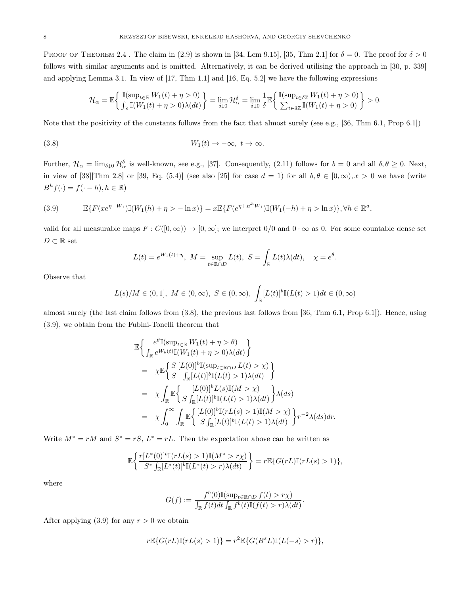PROOF OF THEOREM 2.4. The claim in (2.9) is shown in [34, Lem 9.15], [35, Thm 2.1] for  $\delta = 0$ . The proof for  $\delta > 0$ follows with similar arguments and is omitted. Alternatively, it can be derived utilising the approach in [30, p. 339] and applying Lemma 3.1. In view of [17, Thm 1.1] and [16, Eq. 5.2] we have the following expressions

$$
\mathcal{H}_{\alpha} = \mathbb{E}\bigg\{\frac{\mathbb{I}(\sup_{t\in\mathbb{R}}W_1(t)+\eta>0)}{\int_{\mathbb{R}}\mathbb{I}(W_1(t)+\eta>0)\lambda(dt)}\bigg\} = \lim_{\delta\downarrow 0}\mathcal{H}_{\alpha}^{\delta} = \lim_{\delta\downarrow 0}\frac{1}{\delta}\mathbb{E}\bigg\{\frac{\mathbb{I}(\sup_{t\in\delta\mathbb{Z}}W_1(t)+\eta>0)}{\sum_{t\in\delta\mathbb{Z}}\mathbb{I}(W_1(t)+\eta>0)}\bigg\} > 0.
$$

Note that the positivity of the constants follows from the fact that almost surely (see e.g., [36, Thm 6.1, Prop 6.1])

(3.8) 
$$
W_1(t) \to -\infty, \ t \to \infty.
$$

Further,  $\mathcal{H}_{\alpha} = \lim_{\delta \downarrow 0} \mathcal{H}_{\alpha}^{\delta}$  is well-known, see e.g., [37]. Consequently, (2.11) follows for  $b = 0$  and all  $\delta, \theta \ge 0$ . Next, in view of [38][Thm 2.8] or [39, Eq. (5.4)] (see also [25] for case  $d = 1$ ) for all  $b, \theta \in [0, \infty), x > 0$  we have (write  $B<sup>h</sup> f(\cdot) = f(\cdot - h), h \in \mathbb{R}$ 

(3.9) 
$$
\mathbb{E}\{F(xe^{\eta+W_1})\mathbb{I}(W_1(h)+\eta>-\ln x)\}=x\mathbb{E}\{F(e^{\eta+B^hW_1})\mathbb{I}(W_1(-h)+\eta>\ln x)\},\forall h\in\mathbb{R}^d,
$$

valid for all measurable maps  $F : C([0,\infty)) \mapsto [0,\infty];$  we interpret  $0/0$  and  $0 \cdot \infty$  as 0. For some countable dense set  $D \subset \mathbb{R}$  set

$$
L(t) = e^{W_1(t) + \eta}, \ M = \sup_{t \in \mathbb{R} \cap D} L(t), \ S = \int_{\mathbb{R}} L(t) \lambda(dt), \quad \chi = e^{\theta}.
$$

Observe that

$$
L(s)/M \in (0,1], M \in (0,\infty), S \in (0,\infty), \int_{\mathbb{R}} [L(t)]^b \mathbb{I}(L(t) > 1) dt \in (0,\infty)
$$

almost surely (the last claim follows from (3.8), the previous last follows from [36, Thm 6.1, Prop 6.1]). Hence, using (3.9), we obtain from the Fubini-Tonelli theorem that

$$
\mathbb{E}\left\{\frac{e^{\theta}\mathbb{I}(\sup_{t\in\mathbb{R}}W_{1}(t)+\eta>\theta)}{\int_{\mathbb{R}}e^{W_{b}(t)}\mathbb{I}(W_{1}(t)+\eta>0)\lambda(dt)}\right\}
$$
\n
$$
=\chi\mathbb{E}\left\{\frac{S}{S}\frac{[L(0)]^{b}\mathbb{I}(\sup_{t\in\mathbb{R}\cap D}L(t)>\chi)}{\int_{\mathbb{R}}[L(t)]^{b}\mathbb{I}(L(t)>\chi)}\right\}
$$
\n
$$
=\chi\int_{\mathbb{R}}\mathbb{E}\left\{\frac{[L(0)]^{b}L(s)\mathbb{I}(M>\chi)}{S\int_{\mathbb{R}}[L(t)]^{b}\mathbb{I}(L(t)>\chi)}\right\}\lambda(ds)
$$
\n
$$
=\chi\int_{0}^{\infty}\int_{\mathbb{R}}\mathbb{E}\left\{\frac{[L(0)]^{b}\mathbb{I}(rL(s)>\chi)\mathbb{I}(M>\chi)}{S\int_{\mathbb{R}}[L(t)]^{b}\mathbb{I}(rL(s)>\chi)}\right\}r^{-2}\lambda(ds)dr.
$$

Write  $M^* = rM$  and  $S^* = rS$ ,  $L^* = rL$ . Then the expectation above can be written as

$$
\mathbb{E}\bigg\{\frac{r[L^*(0)]^b\mathbb{I}(rL(s)>1)\mathbb{I}(M^*>r\chi)}{S^*\int_{\mathbb{R}}[L^*(t)]^b\mathbb{I}(L^*(t)>r)\lambda(dt)}\bigg\}=r\mathbb{E}\{G(rL)\mathbb{I}(rL(s)>1)\},
$$

where

$$
G(f) := \frac{f^b(0)\mathbb{I}(\sup_{t \in \mathbb{R} \cap D} f(t) > r\chi)}{\int_{\mathbb{R}} f(t)dt \int_{\mathbb{R}} f^b(t)\mathbb{I}(f(t) > r)\lambda(dt)}
$$

.

After applying  $(3.9)$  for any  $r > 0$  we obtain

$$
r\mathbb{E}\{G(rL)\mathbb{I}(rL(s)>1)\} = r^2\mathbb{E}\{G(B^sL)\mathbb{I}(L(-s)>r)\},
$$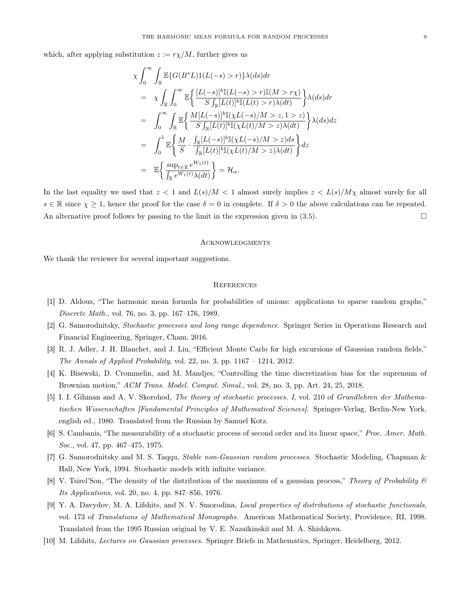which, after applying substitution  $z := r\chi/M$ , further gives us

$$
\chi \int_0^\infty \int_{\mathbb{R}} \mathbb{E}\{G(B^sL)1(L(-s) > r)\}\lambda(ds)dr
$$
  
\n
$$
= \chi \int_{\mathbb{R}} \int_0^\infty \mathbb{E}\left\{\frac{[L(-s)]^b \mathbb{I}(L(-s) > r)\mathbb{I}(M > r\chi)}{S\int_{\mathbb{R}}[L(t)]^b \mathbb{I}(L(t) > r)\lambda(dt)}\right\}\lambda(ds)dr
$$
  
\n
$$
= \int_0^\infty \int_{\mathbb{R}} \mathbb{E}\left\{\frac{M[L(-s)]^b \mathbb{I}(\chi L(-s)/M > z, 1 > z)}{S\int_{\mathbb{R}}[L(t)]^b \mathbb{I}(\chi L(t)/M > z)\lambda(dt)}\right\}\lambda(ds)dz
$$
  
\n
$$
= \int_0^1 \mathbb{E}\left\{\frac{M}{S} \cdot \frac{\int_{\mathbb{R}}[L(-s)]^b \mathbb{I}(\chi L(-s)/M > z)ds}{\int_{\mathbb{R}}[L(t)]^b \mathbb{I}(\chi L(t)/M > z)\lambda(dt)}\right\}dz
$$
  
\n
$$
= \mathbb{E}\left\{\frac{\sup_{t \in \mathbb{R}} e^{W_1(t)}}{\int_{\mathbb{R}} e^{W_1(t)}\lambda(dt)}\right\} = \mathcal{H}_{\alpha}.
$$

In the last equality we used that  $z < 1$  and  $L(s)/M < 1$  almost surely implies  $z < L(s)/M\chi$  almost surely for all  $s \in \mathbb{R}$  since  $\chi \geq 1$ , hence the proof for the case  $\delta = 0$  in complete. If  $\delta > 0$  the above calculations can be repeated. An alternative proof follows by passing to the limit in the expression given in  $(3.5)$ .  $\Box$ 

### **ACKNOWLEDGMENTS**

We thank the reviewer for several important suggestions.

#### **REFERENCES**

- [1] D. Aldous, "The harmonic mean formula for probabilities of unions: applications to sparse random graphs," Discrete Math., vol. 76, no. 3, pp. 167–176, 1989.
- [2] G. Samorodnitsky, Stochastic processes and long range dependence. Springer Series in Operations Research and Financial Engineering, Springer, Cham, 2016.
- [3] R. J. Adler, J. H. Blanchet, and J. Liu, "Efficient Monte Carlo for high excursions of Gaussian random fields," The Annals of Applied Probability, vol. 22, no. 3, pp.  $1167 - 1214$ , 2012.
- [4] K. Bisewski, D. Crommelin, and M. Mandjes, "Controlling the time discretization bias for the supremum of Brownian motion," ACM Trans. Model. Comput. Simul., vol. 28, no. 3, pp. Art. 24, 25, 2018.
- [5] I. I. Gīhman and A. V. Skorohod, The theory of stochastic processes. I, vol. 210 of Grundlehren der Mathematischen Wissenschaften [Fundamental Principles of Mathematical Sciences]. Springer-Verlag, Berlin-New York, english ed., 1980. Translated from the Russian by Samuel Kotz.
- [6] S. Cambanis, "The measurability of a stochastic process of second order and its linear space," Proc. Amer. Math. Soc., vol. 47, pp. 467–475, 1975.
- [7] G. Samorodnitsky and M. S. Taqqu, Stable non-Gaussian random processes. Stochastic Modeling, Chapman & Hall, New York, 1994. Stochastic models with infinite variance.
- [8] V. Tsirel'Son, "The density of the distribution of the maximum of a gaussian process," Theory of Probability  $\mathscr B$ Its Applications, vol. 20, no. 4, pp. 847–856, 1976.
- [9] Y. A. Davydov, M. A. Lifshits, and N. V. Smorodina, Local properties of distributions of stochastic functionals, vol. 173 of Translations of Mathematical Monographs. American Mathematical Society, Providence, RI, 1998. Translated from the 1995 Russian original by V. E. Nazaĭkinskiĭ and M. A. Shishkova.
- [10] M. Lifshits, Lectures on Gaussian processes. Springer Briefs in Mathematics, Springer, Heidelberg, 2012.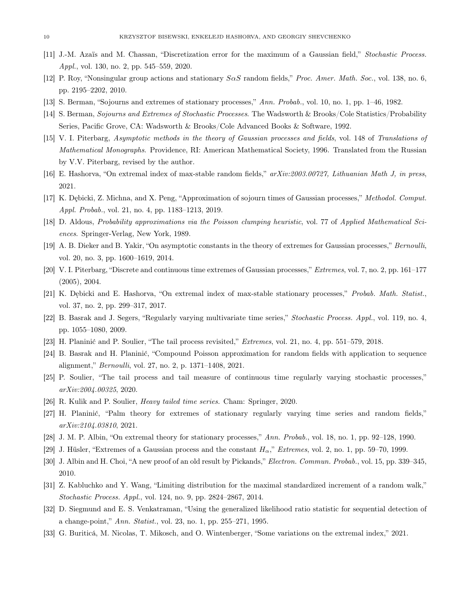- [11] J.-M. Azaïs and M. Chassan, "Discretization error for the maximum of a Gaussian field," Stochastic Process. Appl., vol. 130, no. 2, pp. 545–559, 2020.
- [12] P. Roy, "Nonsingular group actions and stationary  $S \alpha S$  random fields," *Proc. Amer. Math. Soc.*, vol. 138, no. 6, pp. 2195–2202, 2010.
- [13] S. Berman, "Sojourns and extremes of stationary processes," Ann. Probab., vol. 10, no. 1, pp. 1–46, 1982.
- [14] S. Berman, Sojourns and Extremes of Stochastic Processes. The Wadsworth & Brooks/Cole Statistics/Probability Series, Pacific Grove, CA: Wadsworth & Brooks/Cole Advanced Books & Software, 1992.
- [15] V. I. Piterbarg, Asymptotic methods in the theory of Gaussian processes and fields, vol. 148 of Translations of Mathematical Monographs. Providence, RI: American Mathematical Society, 1996. Translated from the Russian by V.V. Piterbarg, revised by the author.
- [16] E. Hashorva, "On extremal index of max-stable random fields," arXiv:2003.00727, Lithuanian Math J, in press, 2021.
- [17] K. Dębicki, Z. Michna, and X. Peng, "Approximation of sojourn times of Gaussian processes," Methodol. Comput. Appl. Probab., vol. 21, no. 4, pp. 1183–1213, 2019.
- [18] D. Aldous, Probability approximations via the Poisson clumping heuristic, vol. 77 of Applied Mathematical Sciences. Springer-Verlag, New York, 1989.
- [19] A. B. Dieker and B. Yakir, "On asymptotic constants in the theory of extremes for Gaussian processes," Bernoulli, vol. 20, no. 3, pp. 1600–1619, 2014.
- [20] V. I. Piterbarg, "Discrete and continuous time extremes of Gaussian processes," Extremes, vol. 7, no. 2, pp. 161–177 (2005), 2004.
- [21] K. Debicki and E. Hashorva, "On extremal index of max-stable stationary processes," *Probab. Math. Statist.*, vol. 37, no. 2, pp. 299–317, 2017.
- [22] B. Basrak and J. Segers, "Regularly varying multivariate time series," Stochastic Process. Appl., vol. 119, no. 4, pp. 1055–1080, 2009.
- [23] H. Planinić and P. Soulier, "The tail process revisited," Extremes, vol. 21, no. 4, pp. 551–579, 2018.
- [24] B. Basrak and H. Planinić, "Compound Poisson approximation for random fields with application to sequence alignment," Bernoulli, vol. 27, no. 2, p. 1371–1408, 2021.
- [25] P. Soulier, "The tail process and tail measure of continuous time regularly varying stochastic processes," arXiv:2004.00325, 2020.
- [26] R. Kulik and P. Soulier, Heavy tailed time series. Cham: Springer, 2020.
- [27] H. Planinić, "Palm theory for extremes of stationary regularly varying time series and random fields," arXiv:2104.03810, 2021.
- [28] J. M. P. Albin, "On extremal theory for stationary processes," Ann. Probab., vol. 18, no. 1, pp. 92–128, 1990.
- [29] J. Hüsler, "Extremes of a Gaussian process and the constant  $H_{\alpha}$ ," Extremes, vol. 2, no. 1, pp. 59–70, 1999.
- [30] J. Albin and H. Choi, "A new proof of an old result by Pickands," Electron. Commun. Probab., vol. 15, pp. 339–345, 2010.
- [31] Z. Kabluchko and Y. Wang, "Limiting distribution for the maximal standardized increment of a random walk," Stochastic Process. Appl., vol. 124, no. 9, pp. 2824–2867, 2014.
- [32] D. Siegmund and E. S. Venkatraman, "Using the generalized likelihood ratio statistic for sequential detection of a change-point," Ann. Statist., vol. 23, no. 1, pp. 255–271, 1995.
- [33] G. Buriticá, M. Nicolas, T. Mikosch, and O. Wintenberger, "Some variations on the extremal index," 2021.